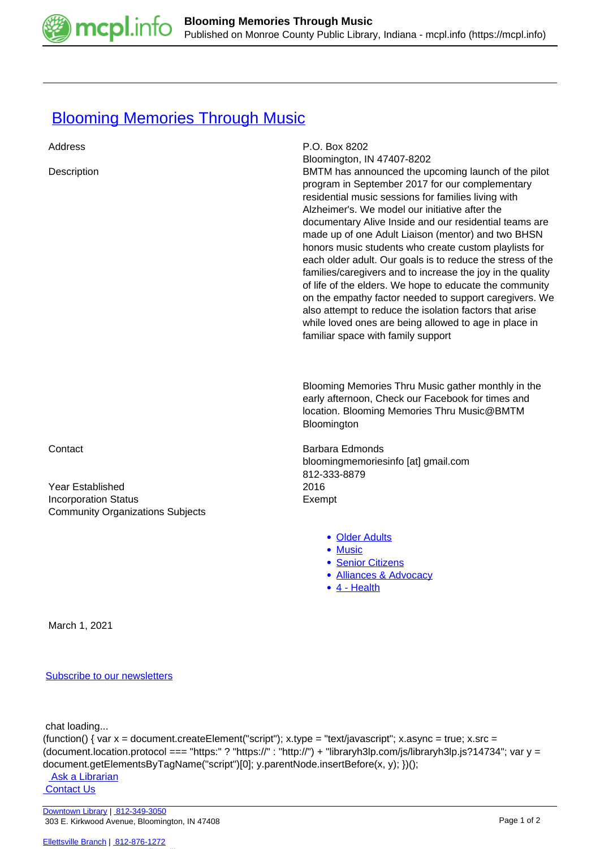

## **[Blooming Memories Through Music](https://mcpl.info/commorg/blooming-memories-through-music)**

| Address<br>Description                                                                                | P.O. Box 8202<br>Bloomington, IN 47407-8202<br>BMTM has announced the upcoming launch of the pilot<br>program in September 2017 for our complementary<br>residential music sessions for families living with<br>Alzheimer's. We model our initiative after the<br>documentary Alive Inside and our residential teams are<br>made up of one Adult Liaison (mentor) and two BHSN<br>honors music students who create custom playlists for<br>each older adult. Our goals is to reduce the stress of the<br>families/caregivers and to increase the joy in the quality<br>of life of the elders. We hope to educate the community<br>on the empathy factor needed to support caregivers. We<br>also attempt to reduce the isolation factors that arise<br>while loved ones are being allowed to age in place in<br>familiar space with family support |
|-------------------------------------------------------------------------------------------------------|----------------------------------------------------------------------------------------------------------------------------------------------------------------------------------------------------------------------------------------------------------------------------------------------------------------------------------------------------------------------------------------------------------------------------------------------------------------------------------------------------------------------------------------------------------------------------------------------------------------------------------------------------------------------------------------------------------------------------------------------------------------------------------------------------------------------------------------------------|
|                                                                                                       | Blooming Memories Thru Music gather monthly in the<br>early afternoon, Check our Facebook for times and<br>location. Blooming Memories Thru Music@BMTM<br>Bloomington                                                                                                                                                                                                                                                                                                                                                                                                                                                                                                                                                                                                                                                                              |
| Contact<br>Year Established<br><b>Incorporation Status</b><br><b>Community Organizations Subjects</b> | <b>Barbara Edmonds</b><br>bloomingmemoriesinfo [at] gmail.com<br>812-333-8879<br>2016<br>Exempt                                                                                                                                                                                                                                                                                                                                                                                                                                                                                                                                                                                                                                                                                                                                                    |
|                                                                                                       | • Older Adults<br>• Music<br>• Senior Citizens<br>• Alliances & Advocacy<br>$\bullet$ 4 - Health                                                                                                                                                                                                                                                                                                                                                                                                                                                                                                                                                                                                                                                                                                                                                   |
| March 1, 2021                                                                                         |                                                                                                                                                                                                                                                                                                                                                                                                                                                                                                                                                                                                                                                                                                                                                                                                                                                    |

## [Subscribe to our newsletters](https://mcpl.info/geninfo/subscribe-think-library-newsletter)

chat loading...

(function() { var x = document.createElement("script"); x.type = "text/javascript"; x.async = true; x.src = (document.location.protocol === "https:" ? "https://" : "http://") + "libraryh3lp.com/js/libraryh3lp.js?14734"; var y = document.getElementsByTagName("script")[0]; y.parentNode.insertBefore(x, y); })();

Ask a Librarian  [Contact Us](https://mcpl.info/geninfo/contact-us)